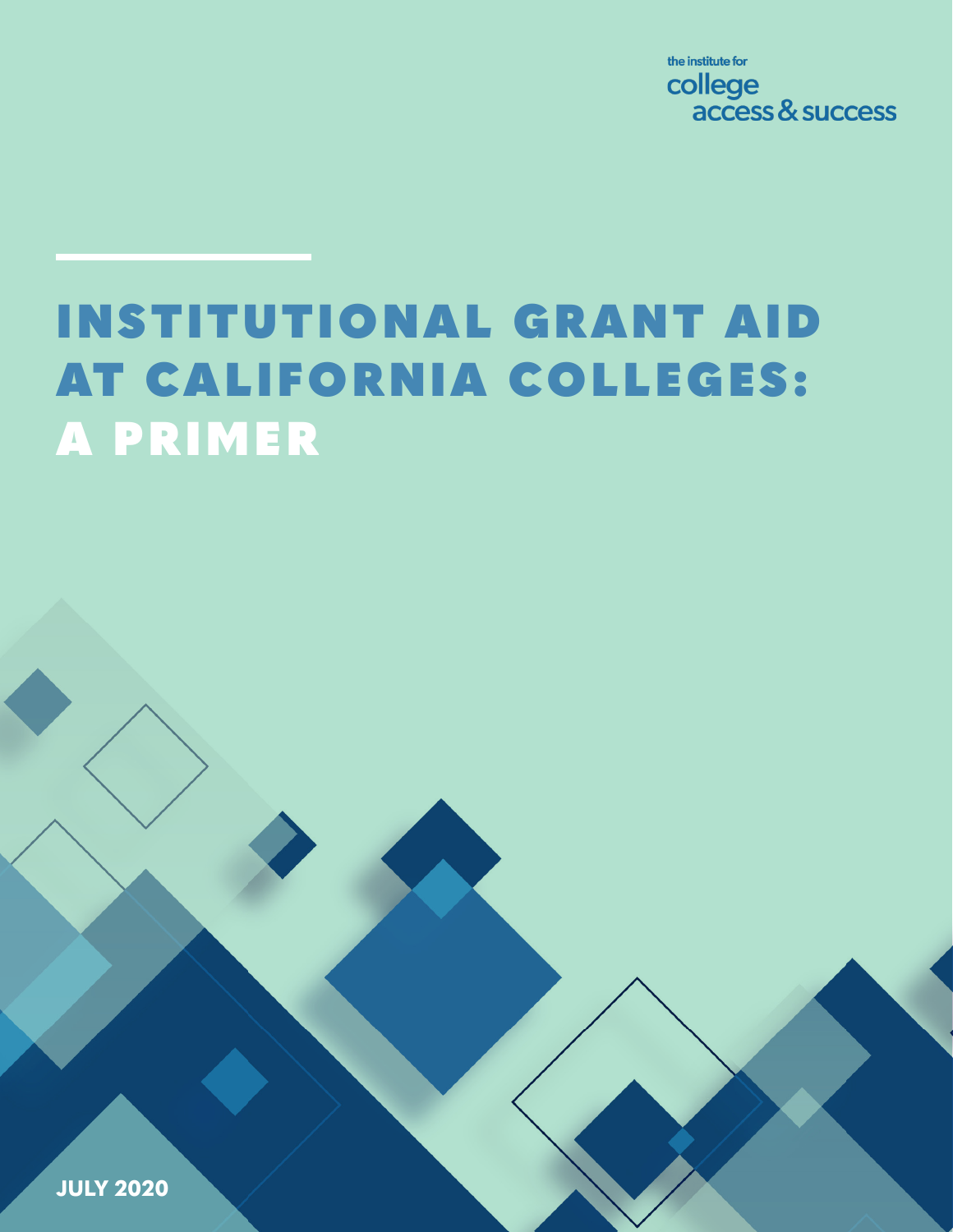the institute for college access & success

# INSTITUTIONAL GRANT AID AT CALIFORNIA COLLEGES: A PRIMER

**JULY 2020**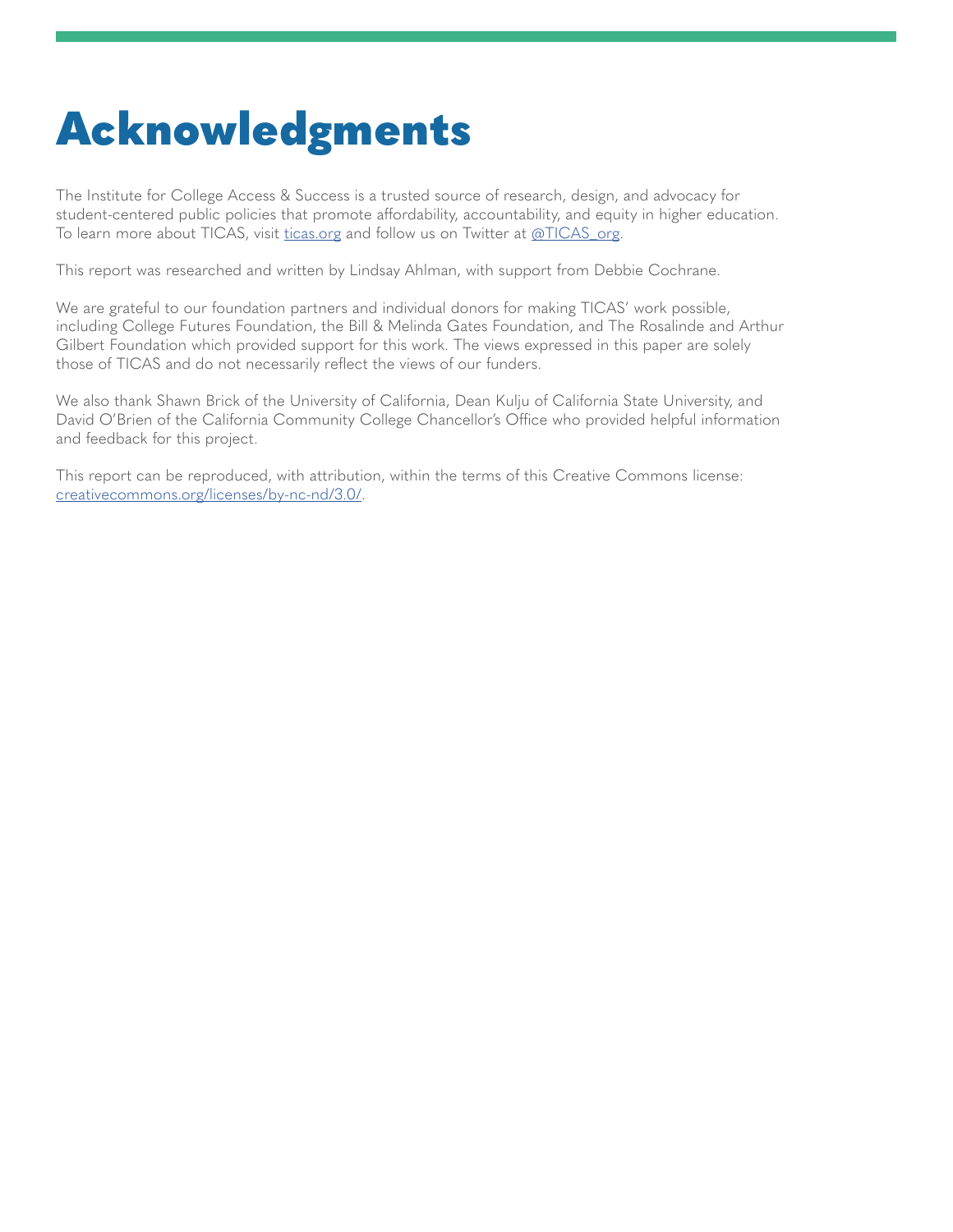# Acknowledgments

The Institute for College Access & Success is a trusted source of research, design, and advocacy for student-centered public policies that promote affordability, accountability, and equity in higher education. To learn more about TICAS, visit [ticas.org](http://ticas.org) and follow us on Twitter at [@TICAS\\_org](https://twitter.com/TICAS_org).

This report was researched and written by Lindsay Ahlman, with support from Debbie Cochrane.

We are grateful to our foundation partners and individual donors for making TICAS' work possible, including College Futures Foundation, the Bill & Melinda Gates Foundation, and The Rosalinde and Arthur Gilbert Foundation which provided support for this work. The views expressed in this paper are solely those of TICAS and do not necessarily reflect the views of our funders.

We also thank Shawn Brick of the University of California, Dean Kulju of California State University, and David O'Brien of the California Community College Chancellor's Office who provided helpful information and feedback for this project.

This report can be reproduced, with attribution, within the terms of this Creative Commons license: [creativecommons.org/licenses/by-nc-nd/3.0/](http://creativecommons.org/licenses/by-nc-nd/3.0/).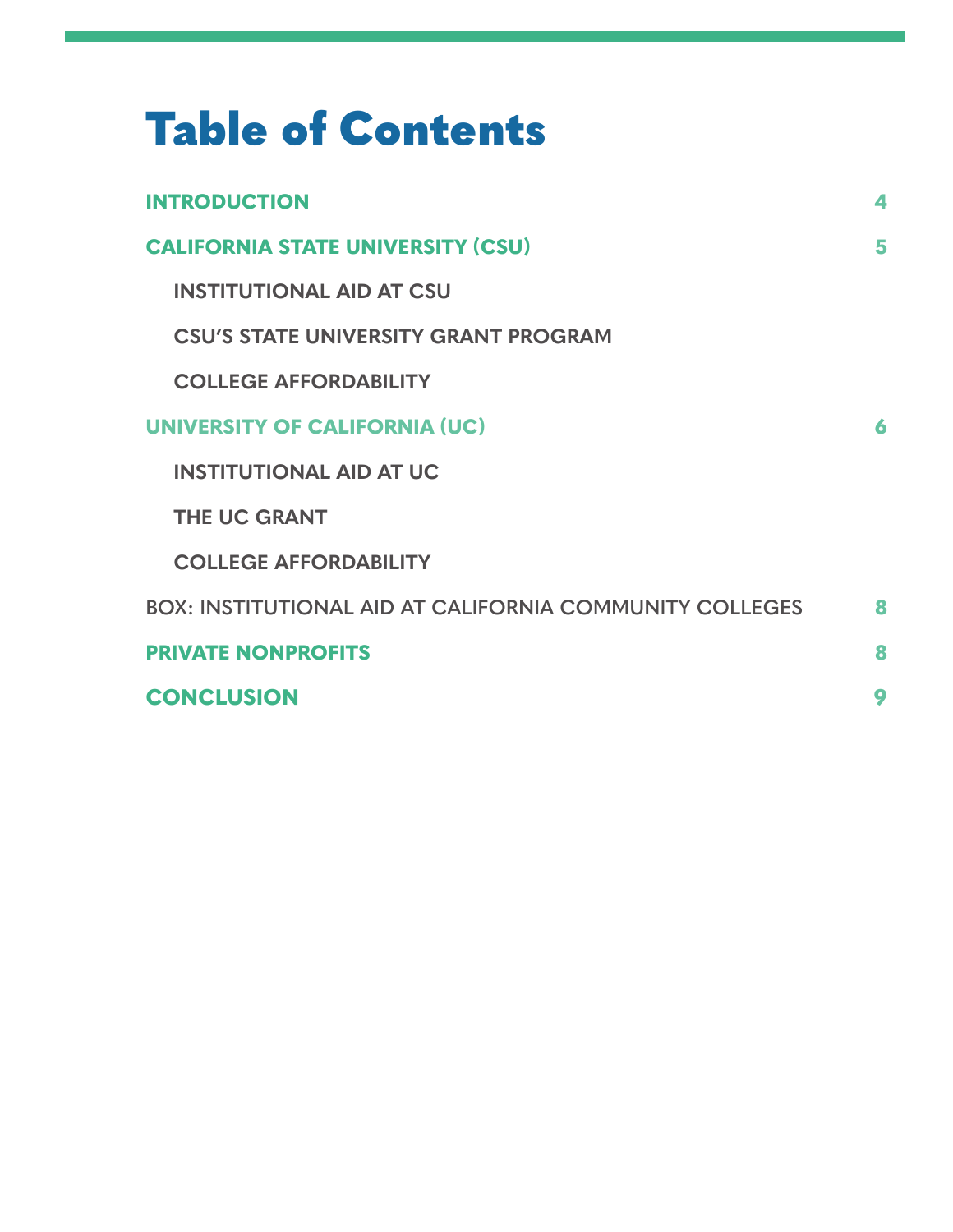| <b>Table of Contents</b>                                       |   |  |  |  |
|----------------------------------------------------------------|---|--|--|--|
| <b>INTRODUCTION</b>                                            | 4 |  |  |  |
| <b>CALIFORNIA STATE UNIVERSITY (CSU)</b>                       |   |  |  |  |
| <b>INSTITUTIONAL AID AT CSU</b>                                |   |  |  |  |
| <b>CSU'S STATE UNIVERSITY GRANT PROGRAM</b>                    |   |  |  |  |
| <b>COLLEGE AFFORDABILITY</b>                                   |   |  |  |  |
| <b>UNIVERSITY OF CALIFORNIA (UC)</b>                           | 6 |  |  |  |
| <b>INSTITUTIONAL AID AT UC</b>                                 |   |  |  |  |
| <b>THE UC GRANT</b>                                            |   |  |  |  |
| <b>COLLEGE AFFORDABILITY</b>                                   |   |  |  |  |
| <b>BOX: INSTITUTIONAL AID AT CALIFORNIA COMMUNITY COLLEGES</b> | 8 |  |  |  |
| <b>PRIVATE NONPROFITS</b>                                      | 8 |  |  |  |
| <b>CONCLUSION</b>                                              | 9 |  |  |  |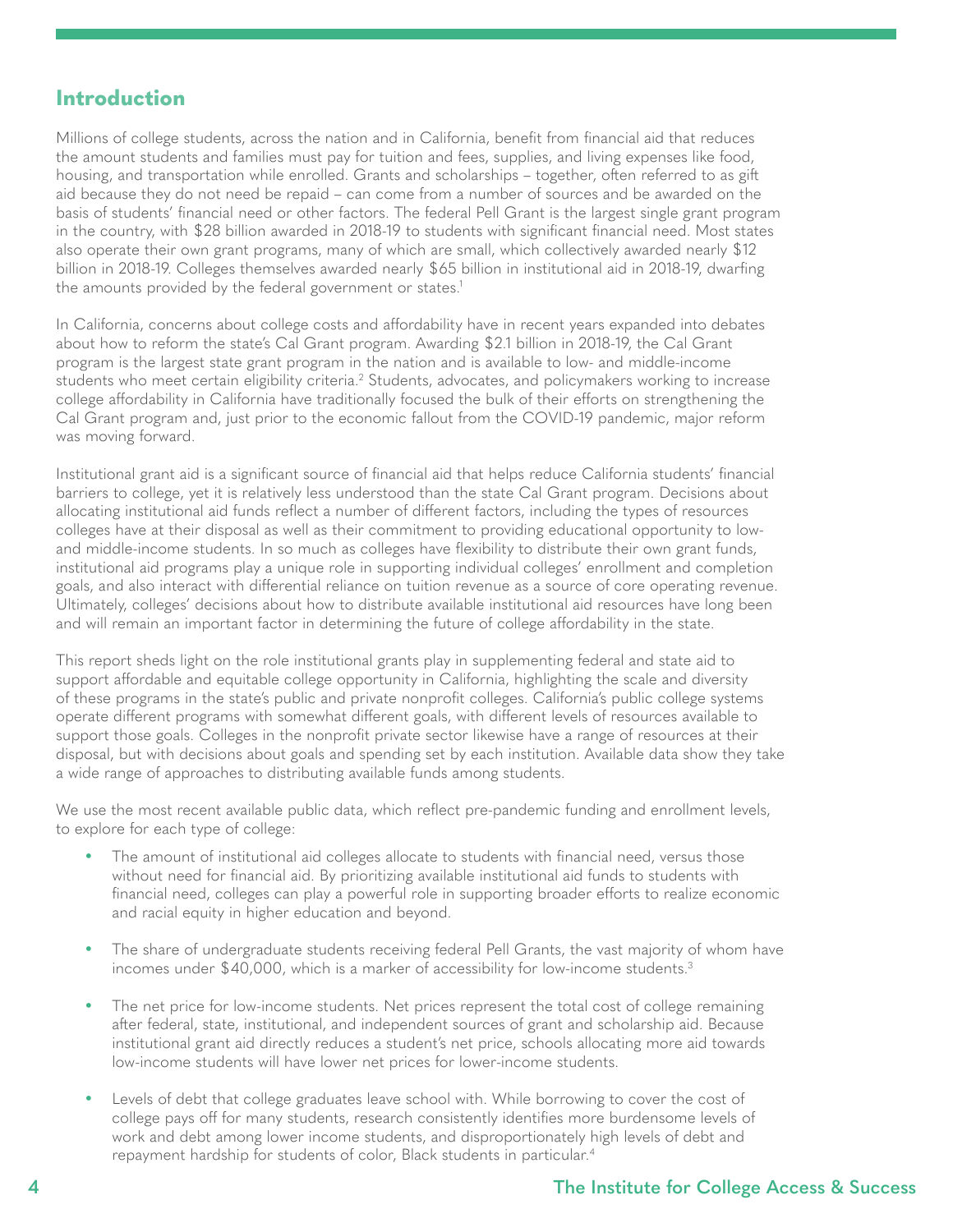## <span id="page-3-0"></span>**Introduction**

Millions of college students, across the nation and in California, benefit from financial aid that reduces the amount students and families must pay for tuition and fees, supplies, and living expenses like food, housing, and transportation while enrolled. Grants and scholarships – together, often referred to as gift aid because they do not need be repaid – can come from a number of sources and be awarded on the basis of students' financial need or other factors. The federal Pell Grant is the largest single grant program in the country, with \$28 billion awarded in 2018-19 to students with significant financial need. Most states also operate their own grant programs, many of which are small, which collectively awarded nearly \$12 billion in 2018-19. Colleges themselves awarded nearly \$65 billion in institutional aid in 2018-19, dwarfing the amounts provided by the federal government or states.<sup>1</sup>

In California, concerns about college costs and affordability have in recent years expanded into debates about how to reform the state's Cal Grant program. Awarding \$2.1 billion in 2018-19, the Cal Grant program is the largest state grant program in the nation and is available to low- and middle-income students who meet certain eligibility criteria.<sup>[2](#page-11-0)</sup> Students, advocates, and policymakers working to increase college affordability in California have traditionally focused the bulk of their efforts on strengthening the Cal Grant program and, just prior to the economic fallout from the COVID-19 pandemic, major reform was moving forward.

Institutional grant aid is a significant source of financial aid that helps reduce California students' financial barriers to college, yet it is relatively less understood than the state Cal Grant program. Decisions about allocating institutional aid funds reflect a number of different factors, including the types of resources colleges have at their disposal as well as their commitment to providing educational opportunity to lowand middle-income students. In so much as colleges have flexibility to distribute their own grant funds, institutional aid programs play a unique role in supporting individual colleges' enrollment and completion goals, and also interact with differential reliance on tuition revenue as a source of core operating revenue. Ultimately, colleges' decisions about how to distribute available institutional aid resources have long been and will remain an important factor in determining the future of college affordability in the state.

This report sheds light on the role institutional grants play in supplementing federal and state aid to support affordable and equitable college opportunity in California, highlighting the scale and diversity of these programs in the state's public and private nonprofit colleges. California's public college systems operate different programs with somewhat different goals, with different levels of resources available to support those goals. Colleges in the nonprofit private sector likewise have a range of resources at their disposal, but with decisions about goals and spending set by each institution. Available data show they take a wide range of approaches to distributing available funds among students.

We use the most recent available public data, which reflect pre-pandemic funding and enrollment levels, to explore for each type of college:

- The amount of institutional aid colleges allocate to students with financial need, versus those without need for financial aid. By prioritizing available institutional aid funds to students with financial need, colleges can play a powerful role in supporting broader efforts to realize economic and racial equity in higher education and beyond.
- The share of undergraduate students receiving federal Pell Grants, the vast majority of whom have incomes under \$40,000, which is a marker of accessibility for low-income students[.3](#page-11-0)
- The net price for low-income students. Net prices represent the total cost of college remaining after federal, state, institutional, and independent sources of grant and scholarship aid. Because institutional grant aid directly reduces a student's net price, schools allocating more aid towards low-income students will have lower net prices for lower-income students.
- Levels of debt that college graduates leave school with. While borrowing to cover the cost of college pays off for many students, research consistently identifies more burdensome levels of work and debt among lower income students, and disproportionately high levels of debt and repayment hardship for students of color, Black students in particular.[4](#page-11-0)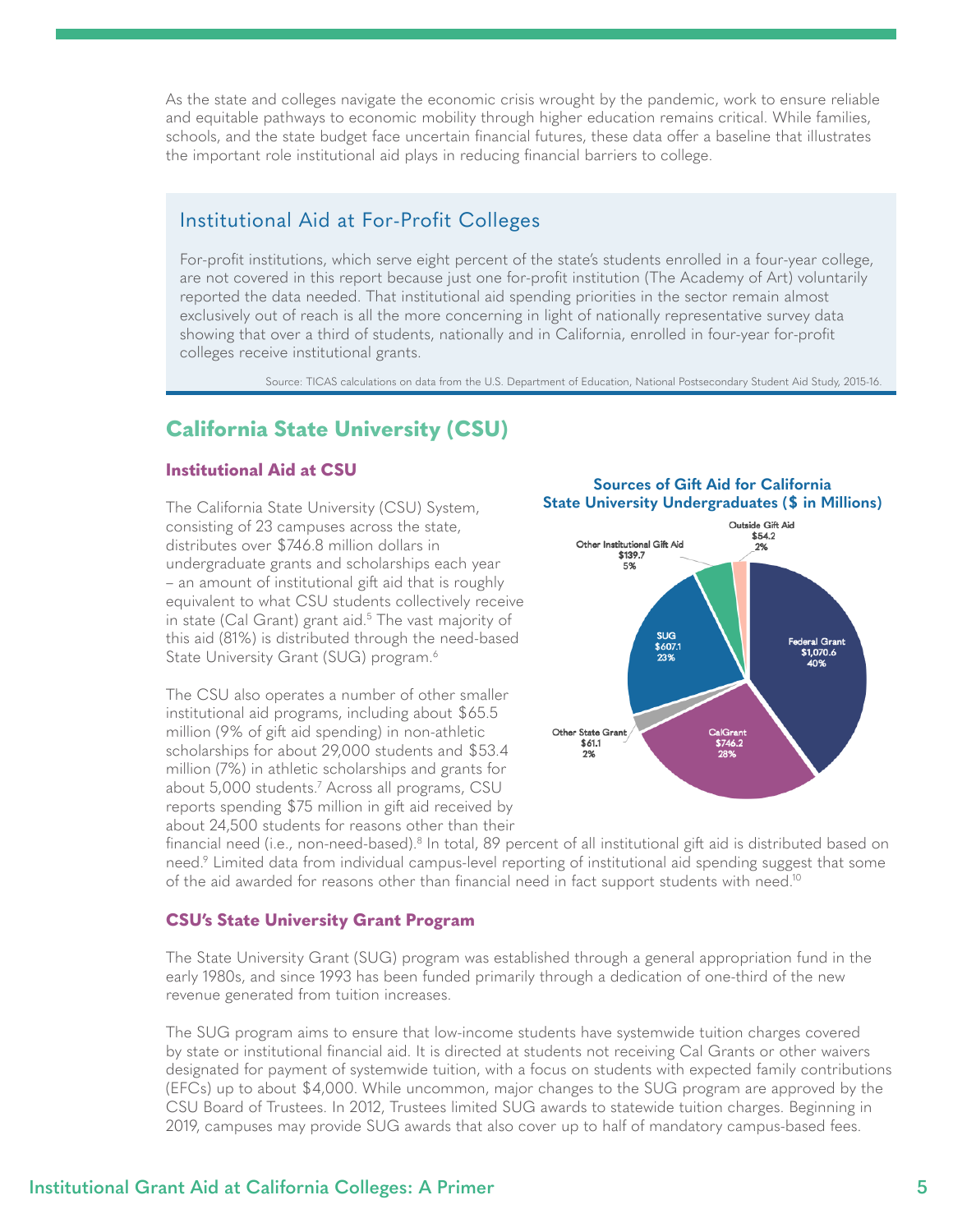<span id="page-4-0"></span>As the state and colleges navigate the economic crisis wrought by the pandemic, work to ensure reliable and equitable pathways to economic mobility through higher education remains critical. While families, schools, and the state budget face uncertain financial futures, these data offer a baseline that illustrates the important role institutional aid plays in reducing financial barriers to college.

## Institutional Aid at For-Profit Colleges

For-profit institutions, which serve eight percent of the state's students enrolled in a four-year college, are not covered in this report because just one for-profit institution (The Academy of Art) voluntarily reported the data needed. That institutional aid spending priorities in the sector remain almost exclusively out of reach is all the more concerning in light of nationally representative survey data showing that over a third of students, nationally and in California, enrolled in four-year for-profit colleges receive institutional grants.

Source: TICAS calculations on data from the U.S. Department of Education, National Postsecondary Student Aid Study, 2015-16.

## **California State University (CSU)**

#### **Institutional Aid at CSU**

The California State University (CSU) System, consisting of 23 campuses across the state, distributes over \$746.8 million dollars in undergraduate grants and scholarships each year – an amount of institutional gift aid that is roughly equivalent to what CSU students collectively receive in state (Cal Grant) grant aid.<sup>[5](#page-11-0)</sup> The vast majority of this aid (81%) is distributed through the need-based State University Grant (SUG) program.<sup>6</sup>

The CSU also operates a number of other smaller institutional aid programs, including about \$65.5 million (9% of gift aid spending) in non-athletic scholarships for about 29,000 students and \$53.4 million (7%) in athletic scholarships and grants for about 5,000 students[.7](#page-11-0) Across all programs, CSU reports spending \$75 million in gift aid received by about 24,500 students for reasons other than their



**Sources of Gift Aid for California** 

financial need (i.e., non-need-based). $^8$  $^8$  In total, 89 percent of all institutional gift aid is distributed based on need[.9](#page-11-0) Limited data from individual campus-level reporting of institutional aid spending suggest that some of the aid awarded for reasons other than financial need in fact support students with need.<sup>[10](#page-11-0)</sup>

#### **CSU's State University Grant Program**

The State University Grant (SUG) program was established through a general appropriation fund in the early 1980s, and since 1993 has been funded primarily through a dedication of one-third of the new revenue generated from tuition increases.

The SUG program aims to ensure that low-income students have systemwide tuition charges covered by state or institutional financial aid. It is directed at students not receiving Cal Grants or other waivers designated for payment of systemwide tuition, with a focus on students with expected family contributions (EFCs) up to about \$4,000. While uncommon, major changes to the SUG program are approved by the CSU Board of Trustees. In 2012, Trustees limited SUG awards to statewide tuition charges. Beginning in 2019, campuses may provide SUG awards that also cover up to half of mandatory campus-based fees.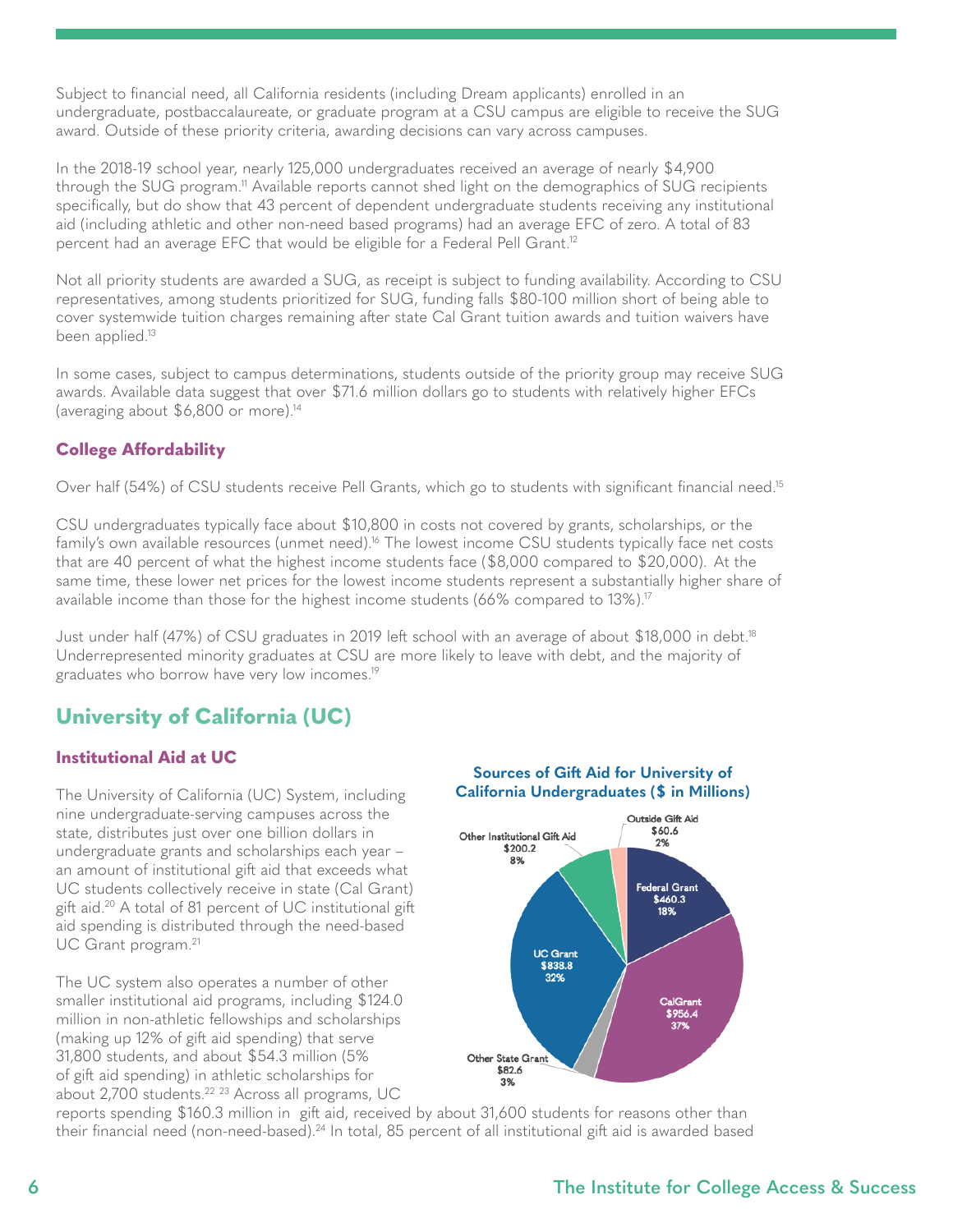<span id="page-5-0"></span>Subject to financial need, all California residents (including Dream applicants) enrolled in an undergraduate, postbaccalaureate, or graduate program at a CSU campus are eligible to receive the SUG award. Outside of these priority criteria, awarding decisions can vary across campuses.

In the 2018-19 school year, nearly 125,000 undergraduates received an average of nearly \$4,900 through the SUG program.<sup>11</sup> Available reports cannot shed light on the demographics of SUG recipients specifically, but do show that 43 percent of dependent undergraduate students receiving any institutional aid (including athletic and other non-need based programs) had an average EFC of zero. A total of 83 percent had an average EFC that would be eligible for a Federal Pell Grant.<sup>[12](#page-11-0)</sup>

Not all priority students are awarded a SUG, as receipt is subject to funding availability. According to CSU representatives, among students prioritized for SUG, funding falls \$80-100 million short of being able to cover systemwide tuition charges remaining after state Cal Grant tuition awards and tuition waivers have been applied.<sup>13</sup>

In some cases, subject to campus determinations, students outside of the priority group may receive SUG awards. Available data suggest that over \$71.6 million dollars go to students with relatively higher EFCs (averaging about \$6,800 or more)[.14](#page-11-0)

### **College Affordability**

Over half (54%) of CSU students receive Pell Grants, which go to students with significant financial need.<sup>[15](#page-11-0)</sup>

CSU undergraduates typically face about \$10,800 in costs not covered by grants, scholarships, or the family's own available resources (unmet need).<sup>16</sup> The lowest income CSU students typically face net costs that are 40 percent of what the highest income students face  $(\$8,000$  compared to  $\$20,000$ ). At the same time, these lower net prices for the lowest income students represent a substantially higher share of available income than those for the highest income students (66% compared to 13%).17

Just under half (47%) of CSU graduates in 2019 left school with an average of about \$18,000 in debt[.18](#page-11-0) Underrepresented minority graduates at CSU are more likely to leave with debt, and the majority of graduates who borrow have very low incomes[.19](#page-11-0)

# **University of California (UC)**

### **Institutional Aid at UC**

The University of California (UC) System, including nine undergraduate-serving campuses across the state, distributes just over one billion dollars in undergraduate grants and scholarships each year – an amount of institutional gift aid that exceeds what UC students collectively receive in state (Cal Grant) gift aid[.20](#page-11-0) A total of 81 percent of UC institutional gift aid spending is distributed through the need-based UC Grant program.<sup>[21](#page-11-0)</sup>

The UC system also operates a number of other smaller institutional aid programs, including \$124.0 million in non-athletic fellowships and scholarships (making up 12% of gift aid spending) that serve 31,800 students, and about \$54.3 million (5% of gift aid spending) in athletic scholarships for about 2,700 students.[22](#page-11-0) [23](#page-11-0) Across all programs, UC

#### **Sources of Gift Aid for University of California Undergraduates (\$ in Millions)**



reports spending \$160.3 million in gift aid, received by about 31,600 students for reasons other than their financial need (non-need-based).[24](#page-11-0) In total, 85 percent of all institutional gift aid is awarded based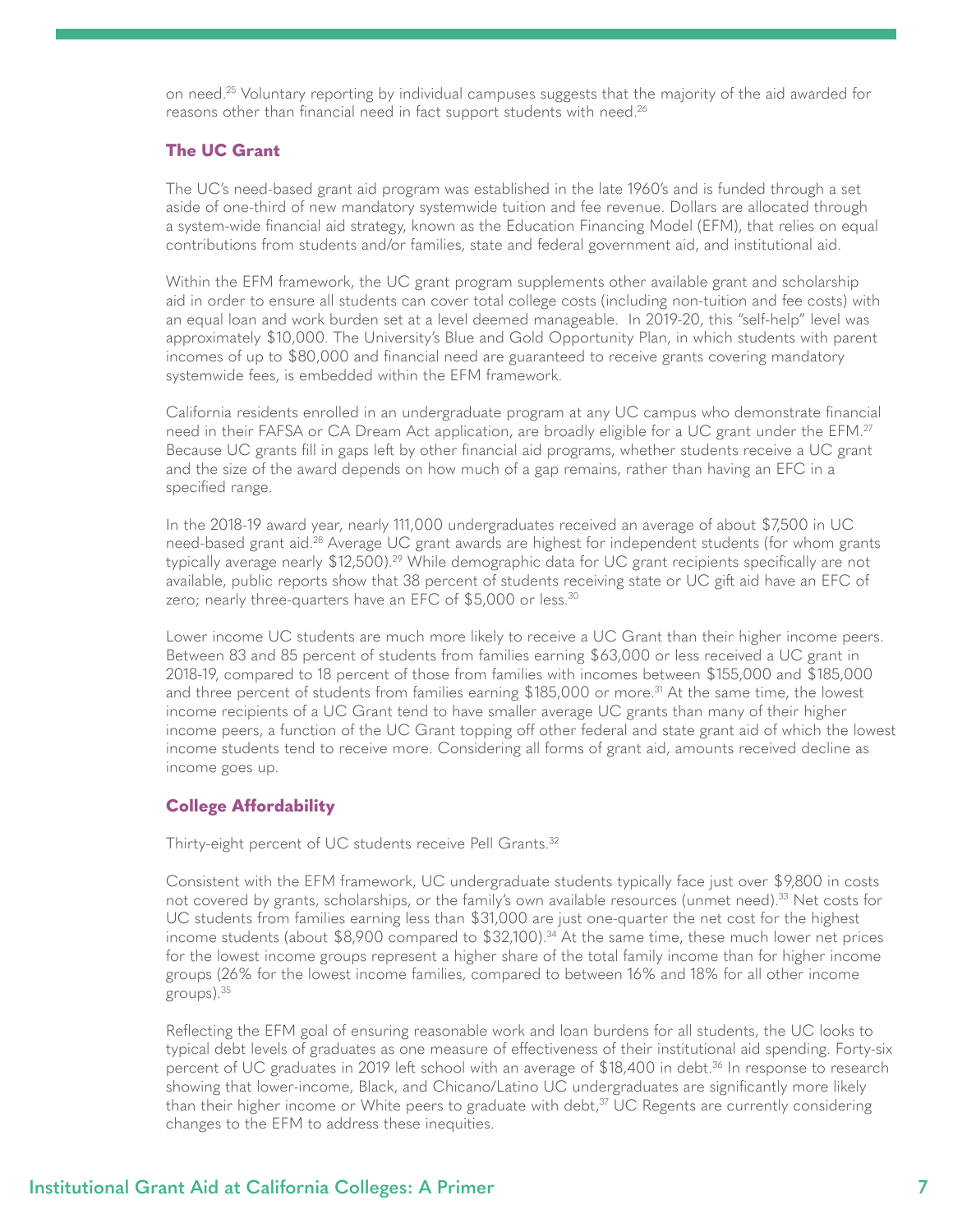<span id="page-6-0"></span>on need.[25](#page-12-0) Voluntary reporting by individual campuses suggests that the majority of the aid awarded for reasons other than financial need in fact support students with need.<sup>[26](#page-12-0)</sup>

#### **The UC Grant**

The UC's need-based grant aid program was established in the late 1960's and is funded through a set aside of one-third of new mandatory systemwide tuition and fee revenue. Dollars are allocated through a system-wide financial aid strategy, known as the Education Financing Model (EFM), that relies on equal contributions from students and/or families, state and federal government aid, and institutional aid.

Within the EFM framework, the UC grant program supplements other available grant and scholarship aid in order to ensure all students can cover total college costs (including non-tuition and fee costs) with an equal loan and work burden set at a level deemed manageable. In 2019-20, this "self-help" level was approximately \$10,000. The University's Blue and Gold Opportunity Plan, in which students with parent incomes of up to \$80,000 and financial need are guaranteed to receive grants covering mandatory systemwide fees, is embedded within the EFM framework.

California residents enrolled in an undergraduate program at any UC campus who demonstrate financial need in their FAFSA or CA Dream Act application, are broadly eligible for a UC grant under the EFM.<sup>27</sup> Because UC grants fill in gaps left by other financial aid programs, whether students receive a UC grant and the size of the award depends on how much of a gap remains, rather than having an EFC in a specified range.

In the 2018-19 award year, nearly 111,000 undergraduates received an average of about \$7,500 in UC need-based grant aid[.28](#page-12-0) Average UC grant awards are highest for independent students (for whom grants typically average nearly \$12,500)[.29](#page-12-0) While demographic data for UC grant recipients specifically are not available, public reports show that 38 percent of students receiving state or UC gift aid have an EFC of zero; nearly three-quarters have an EFC of \$5,000 or less.<sup>[30](#page-12-0)</sup>

Lower income UC students are much more likely to receive a UC Grant than their higher income peers. Between 83 and 85 percent of students from families earning \$63,000 or less received a UC grant in 2018-19, compared to 18 percent of those from families with incomes between \$155,000 and \$185,000 and three percent of students from families earning \$185,000 or more.<sup>[31](#page-12-0)</sup> At the same time, the lowest income recipients of a UC Grant tend to have smaller average UC grants than many of their higher income peers, a function of the UC Grant topping off other federal and state grant aid of which the lowest income students tend to receive more. Considering all forms of grant aid, amounts received decline as income goes up.

#### **College Affordability**

Thirty-eight percent of UC students receive Pell Grants.<sup>[32](#page-12-0)</sup>

Consistent with the EFM framework, UC undergraduate students typically face just over \$9,800 in costs not covered by grants, scholarships, or the family's own available resources (unmet need).<sup>33</sup> Net costs for UC students from families earning less than \$31,000 are just one-quarter the net cost for the highest income students (about \$8,900 compared to \$32,100).<sup>34</sup> At the same time, these much lower net prices for the lowest income groups represent a higher share of the total family income than for higher income groups (26% for the lowest income families, compared to between 16% and 18% for all other income groups)[.35](#page-12-0)

Reflecting the EFM goal of ensuring reasonable work and loan burdens for all students, the UC looks to typical debt levels of graduates as one measure of effectiveness of their institutional aid spending. Forty-six percent of UC graduates in 2019 left school with an average of \$18,400 in debt.<sup>[36](#page-12-0)</sup> In response to research showing that lower-income, Black, and Chicano/Latino UC undergraduates are significantly more likely than their higher income or White peers to graduate with debt, $37$  UC Regents are currently considering changes to the EFM to address these inequities.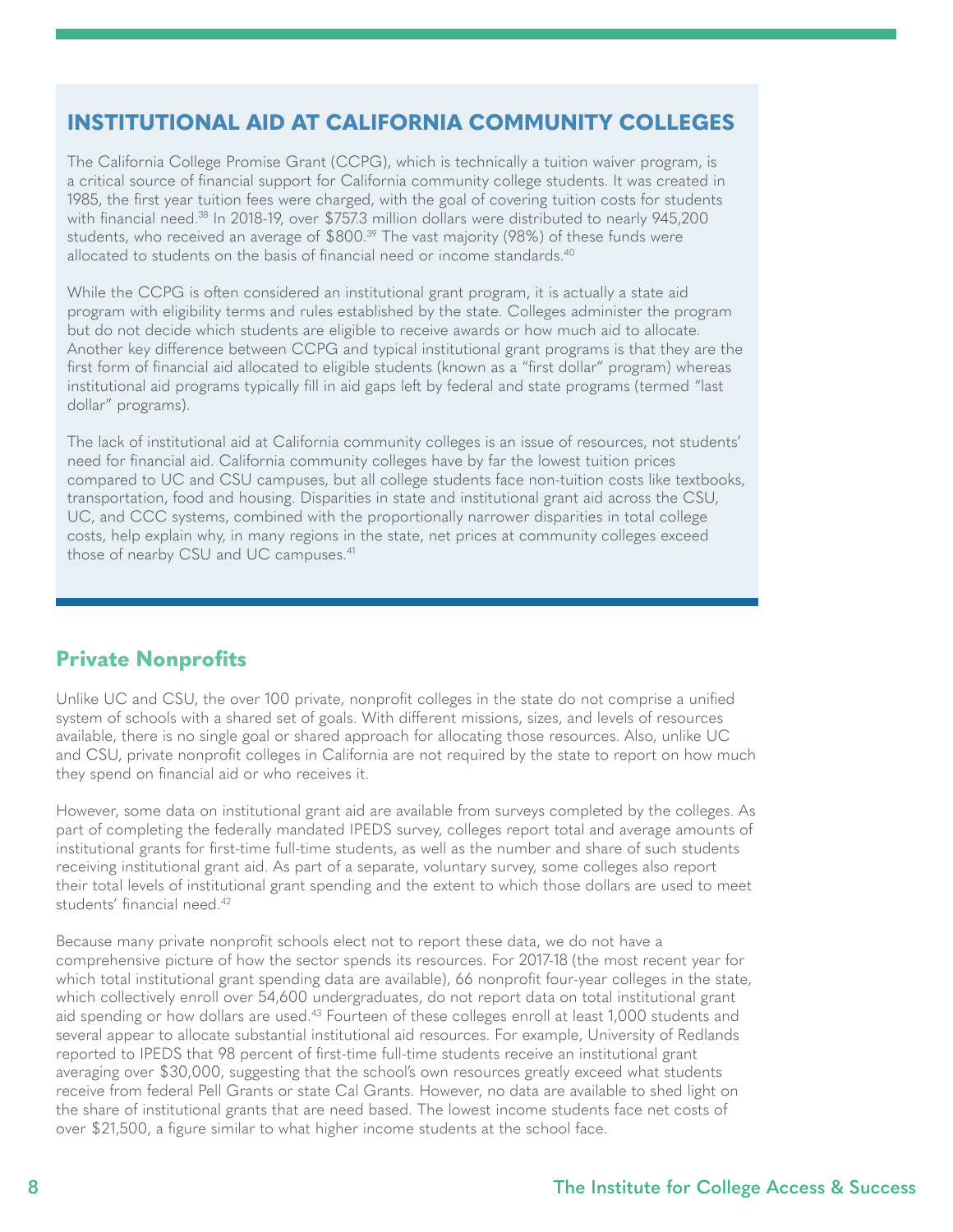# <span id="page-7-0"></span>**INSTITUTIONAL AID AT CALIFORNIA COMMUNITY COLLEGES**

The California College Promise Grant (CCPG), which is technically a tuition waiver program, is a critical source of financial support for California community college students. It was created in 1985, the first year tuition fees were charged, with the goal of covering tuition costs for students with financial need.<sup>38</sup> In 2018-19, over \$757.3 million dollars were distributed to nearly 945,200 students, who received an average of \$800.<sup>[39](#page-12-0)</sup> The vast majority (98%) of these funds were allocated to students on the basis of financial need or income standards.<sup>[40](#page-12-0)</sup>

While the CCPG is often considered an institutional grant program, it is actually a state aid program with eligibility terms and rules established by the state. Colleges administer the program but do not decide which students are eligible to receive awards or how much aid to allocate. Another key difference between CCPG and typical institutional grant programs is that they are the first form of financial aid allocated to eligible students (known as a "first dollar" program) whereas institutional aid programs typically fill in aid gaps left by federal and state programs (termed "last dollar" programs).

The lack of institutional aid at California community colleges is an issue of resources, not students' need for financial aid. California community colleges have by far the lowest tuition prices compared to UC and CSU campuses, but all college students face non-tuition costs like textbooks, transportation, food and housing. Disparities in state and institutional grant aid across the CSU, UC, and CCC systems, combined with the proportionally narrower disparities in total college costs, help explain why, in many regions in the state, net prices at community colleges exceed those of nearby CSU and UC campuses.<sup>[41](#page-12-0)</sup>

# **Private Nonprofits**

Unlike UC and CSU, the over 100 private, nonprofit colleges in the state do not comprise a unified system of schools with a shared set of goals. With different missions, sizes, and levels of resources available, there is no single goal or shared approach for allocating those resources. Also, unlike UC and CSU, private nonprofit colleges in California are not required by the state to report on how much they spend on financial aid or who receives it.

However, some data on institutional grant aid are available from surveys completed by the colleges. As part of completing the federally mandated IPEDS survey, colleges report total and average amounts of institutional grants for first-time full-time students, as well as the number and share of such students receiving institutional grant aid. As part of a separate, voluntary survey, some colleges also report their total levels of institutional grant spending and the extent to which those dollars are used to meet students' financial need.[42](#page-12-0)

Because many private nonprofit schools elect not to report these data, we do not have a comprehensive picture of how the sector spends its resources. For 2017-18 (the most recent year for which total institutional grant spending data are available), 66 nonprofit four-year colleges in the state, which collectively enroll over 54,600 undergraduates, do not report data on total institutional grant aid spending or how dollars are used.<sup>43</sup> Fourteen of these colleges enroll at least 1,000 students and several appear to allocate substantial institutional aid resources. For example, University of Redlands reported to IPEDS that 98 percent of first-time full-time students receive an institutional grant averaging over \$30,000, suggesting that the school's own resources greatly exceed what students receive from federal Pell Grants or state Cal Grants. However, no data are available to shed light on the share of institutional grants that are need based. The lowest income students face net costs of over \$21,500, a figure similar to what higher income students at the school face.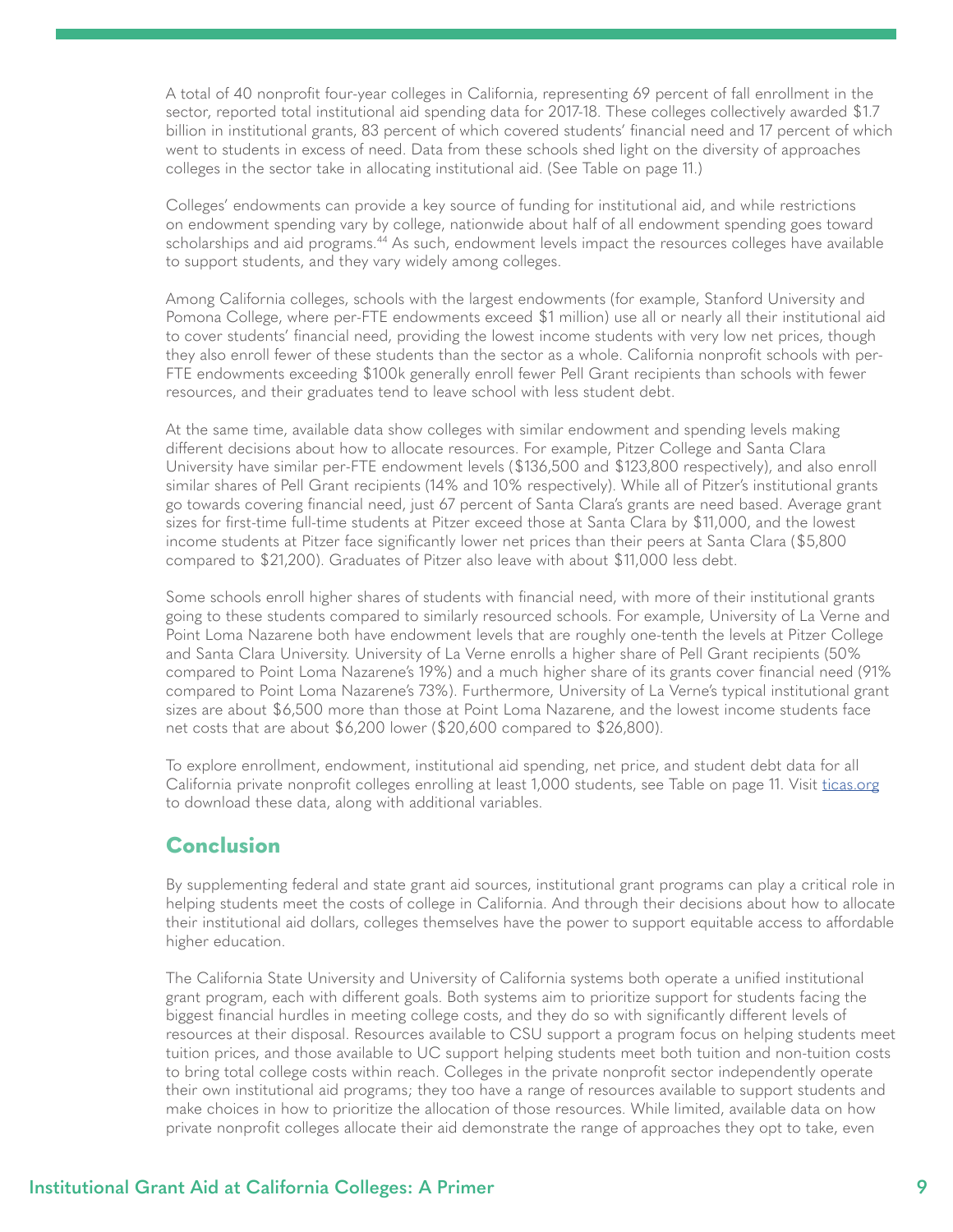<span id="page-8-0"></span>A total of 40 nonprofit four-year colleges in California, representing 69 percent of fall enrollment in the sector, reported total institutional aid spending data for 2017-18. These colleges collectively awarded \$1.7 billion in institutional grants, 83 percent of which covered students' financial need and 17 percent of which went to students in excess of need. Data from these schools shed light on the diversity of approaches colleges in the sector take in allocating institutional aid. (See Table on page 11.)

Colleges' endowments can provide a key source of funding for institutional aid, and while restrictions on endowment spending vary by college, nationwide about half of all endowment spending goes toward scholarships and aid programs.<sup>44</sup> As such, endowment levels impact the resources colleges have available to support students, and they vary widely among colleges.

Among California colleges, schools with the largest endowments (for example, Stanford University and Pomona College, where per-FTE endowments exceed \$1 million) use all or nearly all their institutional aid to cover students' financial need, providing the lowest income students with very low net prices, though they also enroll fewer of these students than the sector as a whole. California nonprofit schools with per-FTE endowments exceeding \$100k generally enroll fewer Pell Grant recipients than schools with fewer resources, and their graduates tend to leave school with less student debt.

At the same time, available data show colleges with similar endowment and spending levels making different decisions about how to allocate resources. For example, Pitzer College and Santa Clara University have similar per-FTE endowment levels (\$136,500 and \$123,800 respectively), and also enroll similar shares of Pell Grant recipients (14% and 10% respectively). While all of Pitzer's institutional grants go towards covering financial need, just 67 percent of Santa Clara's grants are need based. Average grant sizes for first-time full-time students at Pitzer exceed those at Santa Clara by \$11,000, and the lowest income students at Pitzer face significantly lower net prices than their peers at Santa Clara (\$5,800 compared to \$21,200). Graduates of Pitzer also leave with about \$11,000 less debt.

Some schools enroll higher shares of students with financial need, with more of their institutional grants going to these students compared to similarly resourced schools. For example, University of La Verne and Point Loma Nazarene both have endowment levels that are roughly one-tenth the levels at Pitzer College and Santa Clara University. University of La Verne enrolls a higher share of Pell Grant recipients (50% compared to Point Loma Nazarene's 19%) and a much higher share of its grants cover financial need (91% compared to Point Loma Nazarene's 73%). Furthermore, University of La Verne's typical institutional grant sizes are about \$6,500 more than those at Point Loma Nazarene, and the lowest income students face net costs that are about \$6,200 lower (\$20,600 compared to \$26,800).

To explore enrollment, endowment, institutional aid spending, net price, and student debt data for all California private nonprofit colleges enrolling at least 1,000 students, see Table on page 11. Visit [ticas.org](http://ticas.org) to download these data, along with additional variables.

## **Conclusion**

By supplementing federal and state grant aid sources, institutional grant programs can play a critical role in helping students meet the costs of college in California. And through their decisions about how to allocate their institutional aid dollars, colleges themselves have the power to support equitable access to affordable higher education.

The California State University and University of California systems both operate a unified institutional grant program, each with different goals. Both systems aim to prioritize support for students facing the biggest financial hurdles in meeting college costs, and they do so with significantly different levels of resources at their disposal. Resources available to CSU support a program focus on helping students meet tuition prices, and those available to UC support helping students meet both tuition and non-tuition costs to bring total college costs within reach. Colleges in the private nonprofit sector independently operate their own institutional aid programs; they too have a range of resources available to support students and make choices in how to prioritize the allocation of those resources. While limited, available data on how private nonprofit colleges allocate their aid demonstrate the range of approaches they opt to take, even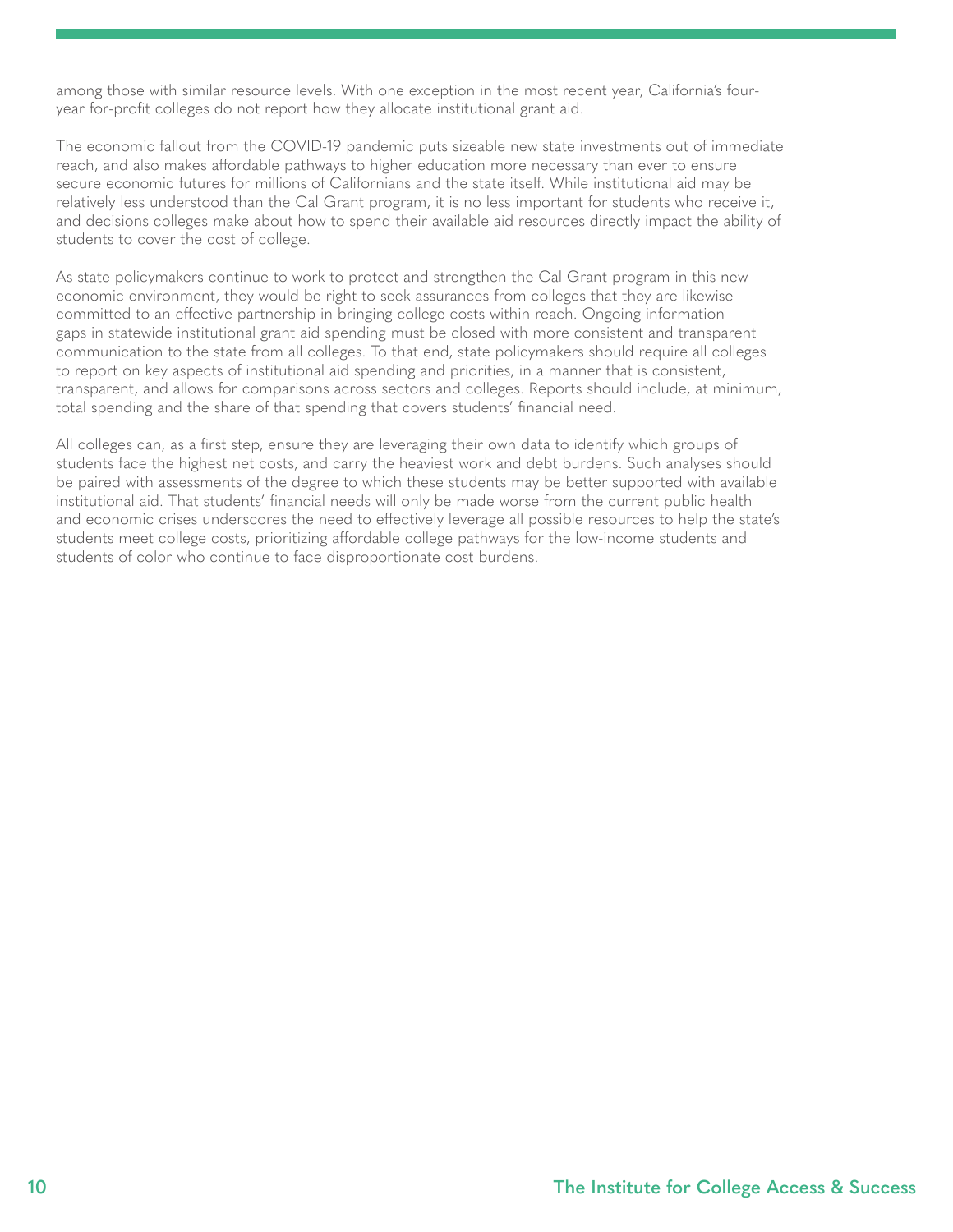among those with similar resource levels. With one exception in the most recent year, California's fouryear for-profit colleges do not report how they allocate institutional grant aid.

The economic fallout from the COVID-19 pandemic puts sizeable new state investments out of immediate reach, and also makes affordable pathways to higher education more necessary than ever to ensure secure economic futures for millions of Californians and the state itself. While institutional aid may be relatively less understood than the Cal Grant program, it is no less important for students who receive it, and decisions colleges make about how to spend their available aid resources directly impact the ability of students to cover the cost of college.

As state policymakers continue to work to protect and strengthen the Cal Grant program in this new economic environment, they would be right to seek assurances from colleges that they are likewise committed to an effective partnership in bringing college costs within reach. Ongoing information gaps in statewide institutional grant aid spending must be closed with more consistent and transparent communication to the state from all colleges. To that end, state policymakers should require all colleges to report on key aspects of institutional aid spending and priorities, in a manner that is consistent, transparent, and allows for comparisons across sectors and colleges. Reports should include, at minimum, total spending and the share of that spending that covers students' financial need.

All colleges can, as a first step, ensure they are leveraging their own data to identify which groups of students face the highest net costs, and carry the heaviest work and debt burdens. Such analyses should be paired with assessments of the degree to which these students may be better supported with available institutional aid. That students' financial needs will only be made worse from the current public health and economic crises underscores the need to effectively leverage all possible resources to help the state's students meet college costs, prioritizing affordable college pathways for the low-income students and students of color who continue to face disproportionate cost burdens.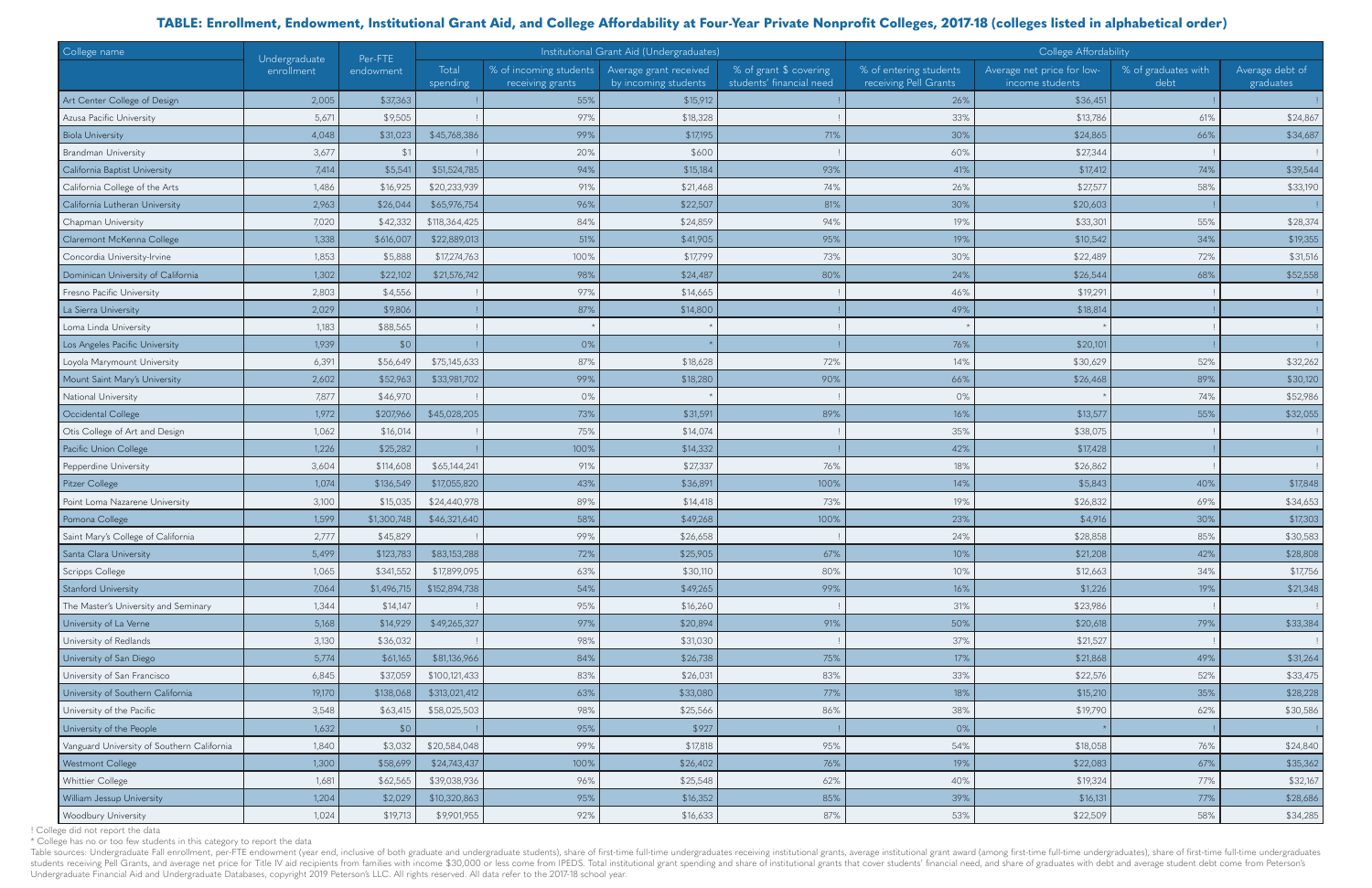Table sources: Undergraduate Fall enrollment, per-FTE endowment (year end, inclusive of both graduate and undergraduate students), share of first-time full-time undergraduates receiving institutional grants, average instit students receiving Pell Grants, and average net price for Title IV aid recipients from families with income \$30,000 or less come from IPEDS. Total institutional grant spending and share of institutional grants that cover s Undergraduate Financial Aid and Undergraduate Databases, copyright 2019 Peterson's LLC. All rights reserved. All data refer to the 2017-18 school year.

| College name                               | Undergraduate<br>enrollment | Per-FTE       | Institutional Grant Aid (Undergraduates) |                                            |                                                |                                                    | College Affordability                           |                                               |                             |                              |
|--------------------------------------------|-----------------------------|---------------|------------------------------------------|--------------------------------------------|------------------------------------------------|----------------------------------------------------|-------------------------------------------------|-----------------------------------------------|-----------------------------|------------------------------|
|                                            |                             | endowment     | Total<br>spending                        | % of incoming students<br>receiving grants | Average grant received<br>by incoming students | % of grant \$ covering<br>students' financial need | % of entering students<br>receiving Pell Grants | Average net price for low-<br>income students | % of graduates with<br>debt | Average debt of<br>graduates |
| Art Center College of Design               | 2,005                       | \$37,363      |                                          | 55%                                        | \$15,912                                       |                                                    | 26%                                             | \$36,451                                      |                             |                              |
| Azusa Pacific University                   | 5,671                       | \$9,505       |                                          | 97%                                        | \$18,328                                       |                                                    | 33%                                             | \$13,786                                      | 61%                         | \$24,867                     |
| <b>Biola University</b>                    | 4,048                       | \$31,023      | \$45,768,386                             | 99%                                        | \$17,195                                       | 71%                                                | 30%                                             | \$24,865                                      | 66%                         | \$34,687                     |
| <b>Brandman University</b>                 | 3,677                       | $\mathcal{P}$ |                                          | 20%                                        | \$600                                          |                                                    | 60%                                             | \$27,344                                      |                             |                              |
| California Baptist University              | 7,414                       | \$5,541       | \$51,524,785                             | 94%                                        | \$15,184                                       | 93%                                                | 41%                                             | \$17,412                                      | 74%                         | \$39,544                     |
| California College of the Arts             | 1,486                       | \$16,925      | \$20,233,939                             | 91%                                        | \$21,468                                       | 74%                                                | 26%                                             | \$27,57                                       | 58%                         | \$33,190                     |
| California Lutheran University             | 2,963                       | \$26,044      | \$65,976,754                             | 96%                                        | \$22,507                                       | 81%                                                | 30%                                             | \$20,603                                      |                             |                              |
| Chapman University                         | 7,020                       | \$42,332      | \$118,364,425                            | 84%                                        | \$24,859                                       | 94%                                                | 19%                                             | \$33,301                                      | 55%                         | \$28,374                     |
| Claremont McKenna College                  | 1,338                       | \$616,007     | \$22,889,013                             | 51%                                        | \$41,905                                       | 95%                                                | 19%                                             | \$10,542                                      | 34%                         | \$19,355                     |
| Concordia University-Irvine                | 1,853                       | \$5,888       | \$17,274,763                             | 100%                                       | \$17,799                                       | 73%                                                | 30%                                             | \$22,489                                      | 72%                         | \$31,516                     |
| Dominican University of California         | 1,302                       | \$22,102      | \$21,576,742                             | 98%                                        | \$24,487                                       | 80%                                                | 24%                                             | \$26,544                                      | 68%                         | \$52,558                     |
| Fresno Pacific University                  | 2,803                       | \$4,556       |                                          | 97%                                        | \$14,665                                       |                                                    | 46%                                             | \$19,291                                      |                             |                              |
| La Sierra University                       | 2,029                       | \$9,806       |                                          | 87%                                        | \$14,800                                       |                                                    | 49%                                             | \$18,814                                      |                             |                              |
| Loma Linda University                      | 1,183                       | \$88,565      |                                          |                                            |                                                |                                                    |                                                 |                                               |                             |                              |
| Los Angeles Pacific University             | 1,939                       | \$0           |                                          | 0%                                         |                                                |                                                    | 76%                                             | \$20,101                                      |                             |                              |
| Loyola Marymount University                | 6,391                       | \$56,649      | \$75,145,633                             | 87%                                        | \$18,628                                       | 72%                                                | 14%                                             | \$30,629                                      | 52%                         | \$32,262                     |
| Mount Saint Mary's University              | 2,602                       | \$52,963      | \$33,981,702                             | 99%                                        | \$18,280                                       | 90%                                                | 66%                                             | \$26,468                                      | 89%                         | \$30,120                     |
| National University                        | 7,877                       | \$46,970      |                                          | 0%                                         |                                                |                                                    | 0%                                              |                                               | 74%                         | \$52,986                     |
| Occidental College                         | 1,972                       | \$207,966     | \$45,028,205                             | 73%                                        | \$31,591                                       | 89%                                                | 16%                                             | \$13,577                                      | 55%                         | \$32,055                     |
| Otis College of Art and Design             | 1,062                       | \$16,014      |                                          | 75%                                        | \$14,074                                       |                                                    | 35%                                             | \$38,075                                      |                             |                              |
| Pacific Union College                      | 1,226                       | \$25,282      |                                          | 100%                                       | \$14,332                                       |                                                    | 42%                                             | \$17,428                                      |                             |                              |
| Pepperdine University                      | 3,604                       | \$114,608     | \$65,144,241                             | 91%                                        | \$27,337                                       | 76%                                                | 18%                                             | \$26,862                                      |                             |                              |
| Pitzer College                             | 1,074                       | \$136,549     | \$17,055,820                             | 43%                                        | \$36,891                                       | 100%                                               | 14%                                             | \$5,843                                       | 40%                         | \$17,848                     |
| Point Loma Nazarene University             | 3,100                       | \$15,035      | \$24,440,978                             | 89%                                        | \$14,418                                       | 73%                                                | 19%                                             | \$26,832                                      | 69%                         | \$34,653                     |
| Pomona College                             | 1,599                       | \$1,300,748   | \$46,321,640                             | 58%                                        | \$49,268                                       | 100%                                               | 23%                                             | \$4,916                                       | 30%                         | \$17,303                     |
| Saint Mary's College of California         | 2,777                       | \$45,829      |                                          | 99%                                        | \$26,658                                       |                                                    | 24%                                             | \$28,858                                      | 85%                         | \$30,583                     |
| Santa Clara University                     | 5,499                       | \$123,783     | \$83,153,288                             | 72%                                        | \$25,905                                       | 67%                                                | 10%                                             | \$21,208                                      | 42%                         | \$28,808                     |
| Scripps College                            | 1,065                       | \$341,552     | \$17,899,095                             | 63%                                        | \$30,110                                       | 80%                                                | 10%                                             | \$12,663                                      | 34%                         | \$17,756                     |
| Stanford University                        | 7,064                       | \$1,496,715   | \$152,894,738                            | 54%                                        | \$49,265                                       | 99%                                                | 16%                                             | \$1,226                                       | 19%                         | \$21,348                     |
| The Master's University and Seminary       | 1,344                       | \$14,147      |                                          | 95%                                        | \$16,260                                       |                                                    | 31%                                             | \$23,986                                      |                             |                              |
| University of La Verne                     | 5,168                       | \$14,929      | \$49,265,327                             | 97%                                        | \$20,894                                       | 91%                                                | 50%                                             | \$20,618                                      | 79%                         | \$33,384                     |
| University of Redlands                     | 3,130                       | \$36,032      |                                          | 98%                                        | \$31,030                                       |                                                    | 37%                                             | \$21,527                                      |                             |                              |
| University of San Diego                    | 5,774                       | \$61,165      | \$81,136,966                             | 84%                                        | \$26,738                                       | 75%                                                | 17%                                             | \$21,868                                      | 49%                         | \$31,264                     |
| University of San Francisco                | 6,845                       | \$37,059      | \$100,121,433                            | 83%                                        | \$26,031                                       | 83%                                                | 33%                                             | \$22,576                                      | 52%                         | \$33,475                     |
| University of Southern California          | 19,170                      | \$138,068     | \$313,021,412                            | 63%                                        | \$33,080                                       | 77%                                                | 18%                                             | \$15,210                                      | 35%                         | \$28,228                     |
| University of the Pacific                  | 3,548                       | \$63,415      | \$58,025,503                             | 98%                                        | \$25,566                                       | 86%                                                | 38%                                             | \$19,790                                      | 62%                         | \$30,586                     |
| University of the People                   | 1,632                       | \$0           |                                          | 95%                                        | \$927                                          |                                                    | 0%                                              |                                               |                             |                              |
| Vanguard University of Southern California | 1,840                       | \$3,032       | \$20,584,048                             | 99%                                        | \$17,818                                       | 95%                                                | 54%                                             | \$18,058                                      | 76%                         | \$24,840                     |
| Westmont College                           | 1,300                       | \$58,699      | \$24,743,437                             | 100%                                       | \$26,402                                       | 76%                                                | 19%                                             | \$22,083                                      | 67%                         | \$35,362                     |
| Whittier College                           | 1,681                       | \$62,565      | \$39,038,936                             | 96%                                        | \$25,548                                       | 62%                                                | 40%                                             | \$19,324                                      | 77%                         | \$32,167                     |
| William Jessup University                  | 1,204                       | \$2,029       | \$10,320,863                             | 95%                                        | \$16,352                                       | 85%                                                | 39%                                             | \$16,131                                      | 77%                         | \$28,686                     |
| <b>Woodbury University</b>                 | 1,024                       | \$19,713      | \$9,901,955                              | 92%                                        | \$16,633                                       | 87%                                                | 53%                                             | \$22,509                                      | 58%                         | \$34,285                     |

! College did not report the data

\* College has no or too few students in this category to report the data

## **TABLE: Enrollment, Endowment, Institutional Grant Aid, and College Affordability at Four-Year Private Nonprofit Colleges, 2017-18 (colleges listed in alphabetical order)**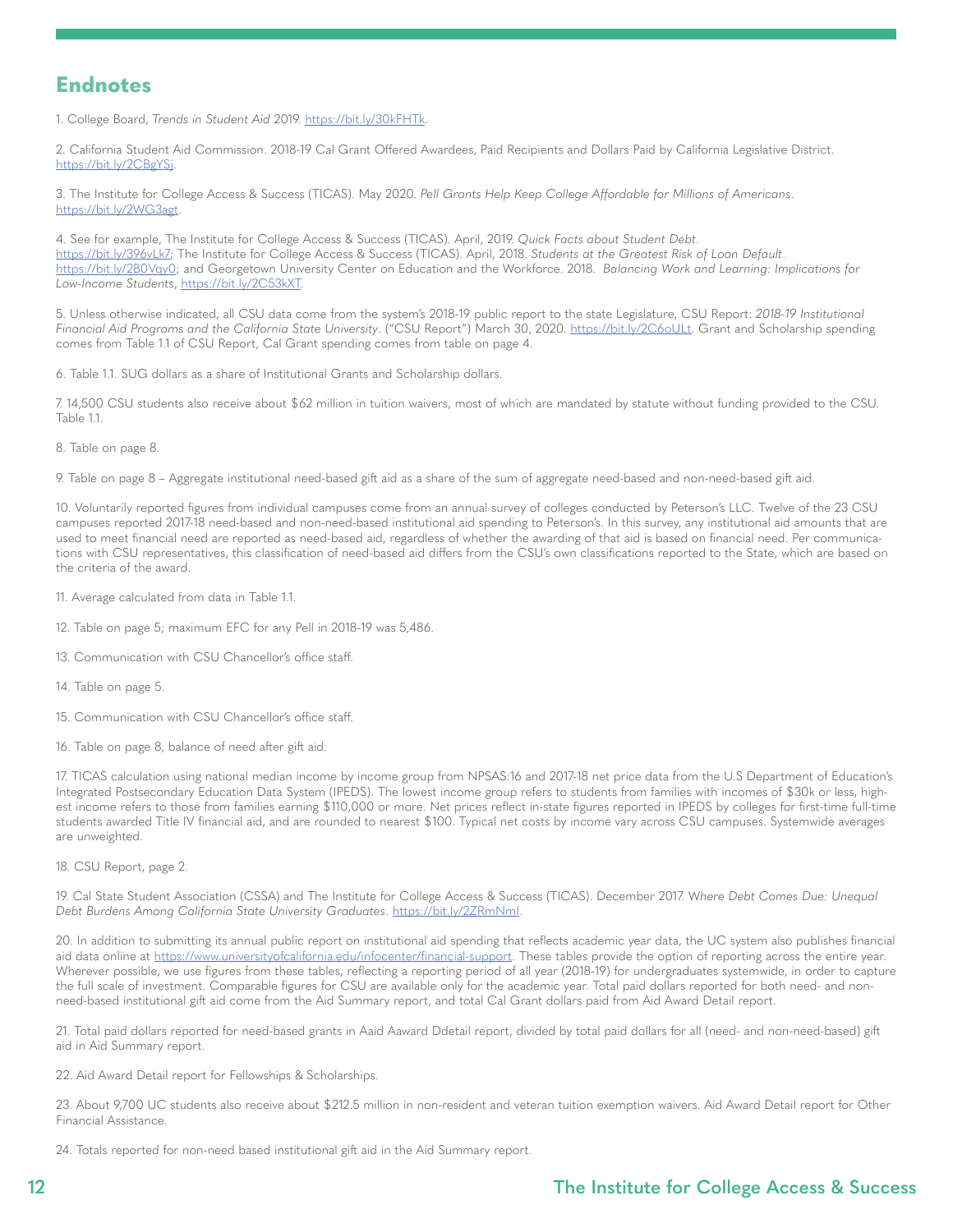## <span id="page-11-0"></span>**Endnotes**

1. College Board, *Trends in Student Aid* 2019.<https://bit.ly/30kFHTk>.

[2](#page-3-0). California Student Aid Commission. 2018-19 Cal Grant Offered Awardees, Paid Recipients and Dollars Paid by California Legislative District. <https://bit.ly/2CBgYSj>.

[3](#page-3-0). The Institute for College Access & Success (TICAS). May 2020. *Pell Grants Help Keep College Affordable for Millions of Americans*. [https://bit.ly/2WG3agt.](https://bit.ly/2WG3agt)

[4.](#page-3-0) See for example, The Institute for College Access & Success (TICAS). April, 2019. *Quick Facts about Student Debt*. <https://bit.ly/396vLk7>; The Institute for College Access & Success (TICAS). April, 2018. *Students at the Greatest Risk of Loan Default*. <https://bit.ly/2B0Vqy0>; and Georgetown University Center on Education and the Workforce. 2018. *Balancing Work and Learning: Implications for Low-Income Students*,<https://bit.ly/2C53kXT>.

[5](#page-4-0). Unless otherwise indicated, all CSU data come from the system's 2018-19 public report to the state Legislature, CSU Report: *2018-19 Institutional Financial Aid Programs and the California State University*. ("CSU Report") March 30, 2020. <https://bit.ly/2C6oULt>. Grant and Scholarship spending comes from Table 1.1 of CSU Report, Cal Grant spending comes from table on page 4.

[6.](#page-4-0) Table 1.1. SUG dollars as a share of Institutional Grants and Scholarship dollars.

[7](#page-4-0). 14,500 CSU students also receive about \$62 million in tuition waivers, most of which are mandated by statute without funding provided to the CSU. Table 1.1.

[8](#page-4-0). Table on page 8.

[9](#page-4-0). Table on page 8 – Aggregate institutional need-based gift aid as a share of the sum of aggregate need-based and non-need-based gift aid.

[10.](#page-4-0) Voluntarily reported figures from individual campuses come from an annual survey of colleges conducted by Peterson's LLC. Twelve of the 23 CSU campuses reported 2017-18 need-based and non-need-based institutional aid spending to Peterson's. In this survey, any institutional aid amounts that are used to meet financial need are reported as need-based aid, regardless of whether the awarding of that aid is based on financial need. Per communications with CSU representatives, this classification of need-based aid differs from the CSU's own classifications reported to the State, which are based on the criteria of the award.

[11.](#page-5-0) Average calculated from data in Table 1.1.

[12](#page-5-0). Table on page 5; maximum EFC for any Pell in 2018-19 was 5,486.

[13](#page-5-0). Communication with CSU Chancellor's office staff.

[14](#page-5-0). Table on page 5.

[15](#page-5-0). Communication with CSU Chancellor's office staff.

[16](#page-5-0). Table on page 8, balance of need after gift aid.

[17.](#page-5-0) TICAS calculation using national median income by income group from NPSAS:16 and 2017-18 net price data from the U.S Department of Education's Integrated Postsecondary Education Data System (IPEDS). The lowest income group refers to students from families with incomes of \$30k or less, highest income refers to those from families earning \$110,000 or more. Net prices reflect in-state figures reported in IPEDS by colleges for first-time full-time students awarded Title IV financial aid, and are rounded to nearest \$100. Typical net costs by income vary across CSU campuses. Systemwide averages are unweighted.

[18](#page-5-0). CSU Report, page 2.

[19](#page-5-0). Cal State Student Association (CSSA) and The Institute for College Access & Success (TICAS). December 2017. W*here Debt Comes Due: Unequal Debt Burdens Among California State University Graduates*. [https://bit.ly/2ZRmNmI.](https://bit.ly/2ZRmNmI)

[20.](#page-5-0) In addition to submitting its annual public report on institutional aid spending that reflects academic year data, the UC system also publishes financial aid data online at <https://www.universityofcalifornia.edu/infocenter/financial-support>. These tables provide the option of reporting across the entire year. Wherever possible, we use figures from these tables, reflecting a reporting period of all year (2018-19) for undergraduates systemwide, in order to capture the full scale of investment. Comparable figures for CSU are available only for the academic year. Total paid dollars reported for both need- and nonneed-based institutional gift aid come from the Aid Summary report, and total Cal Grant dollars paid from Aid Award Detail report.

[21](#page-5-0). Total paid dollars reported for need-based grants in Aaid Aaward Ddetail report, divided by total paid dollars for all (need- and non-need-based) gift aid in Aid Summary report.

[22.](#page-5-0) Aid Award Detail report for Fellowships & Scholarships.

[23.](#page-5-0) About 9,700 UC students also receive about \$212.5 million in non-resident and veteran tuition exemption waivers. Aid Award Detail report for Other [F](#page-5-0)inancial Assistance.

24. Totals reported for non-need based institutional gift aid in the Aid Summary report.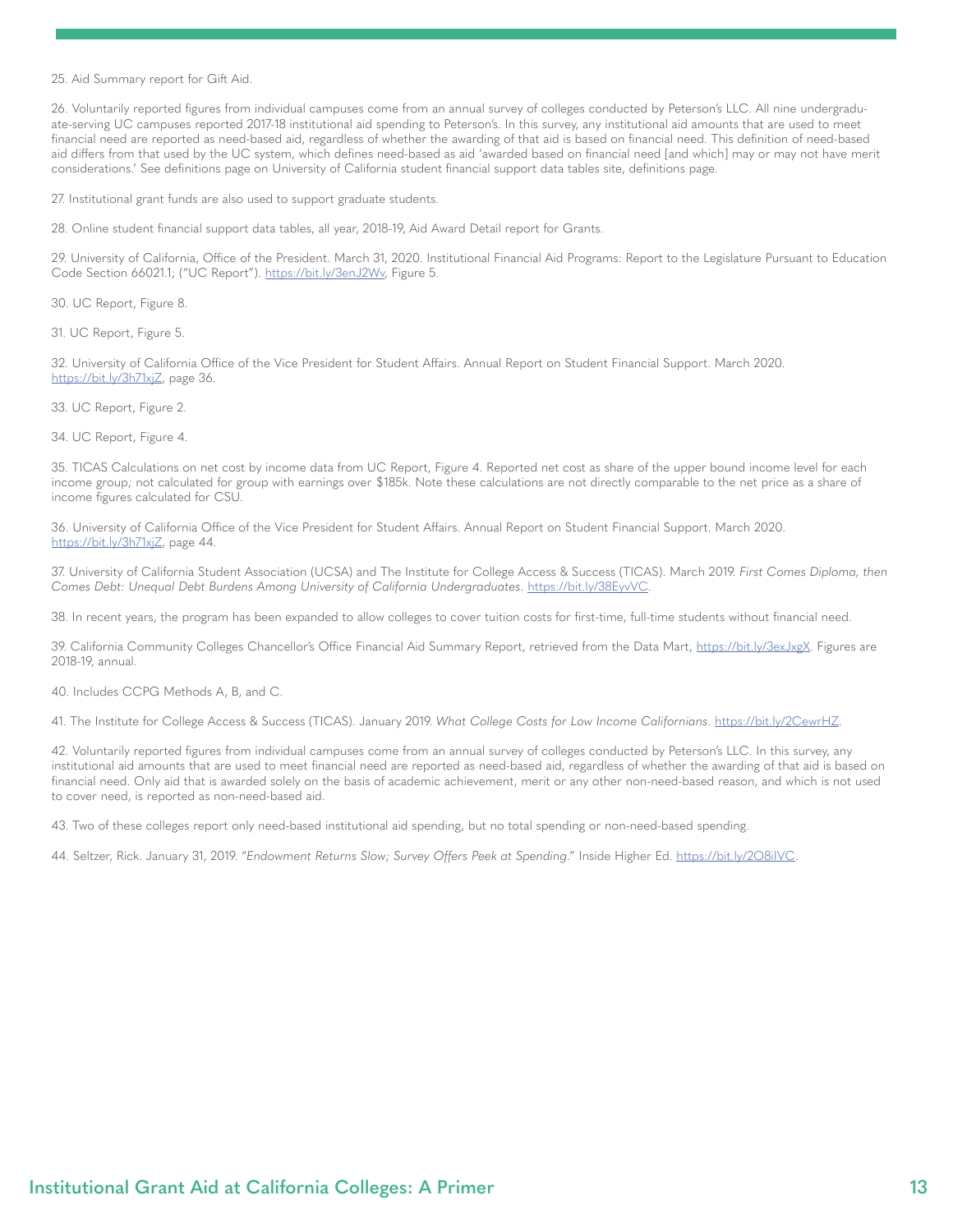<span id="page-12-0"></span>[25.](#page-6-0) Aid Summary report for Gift Aid.

[26.](#page-6-0) Voluntarily reported figures from individual campuses come from an annual survey of colleges conducted by Peterson's LLC. All nine undergraduate-serving UC campuses reported 2017-18 institutional aid spending to Peterson's. In this survey, any institutional aid amounts that are used to meet financial need are reported as need-based aid, regardless of whether the awarding of that aid is based on financial need. This definition of need-based aid differs from that used by the UC system, which defines need-based as aid 'awarded based on financial need [and which] may or may not have merit considerations.' See definitions page on University of California student financial support data tables site, definitions page.

[27.](#page-6-0) Institutional grant funds are also used to support graduate students.

[28.](#page-6-0) Online student financial support data tables, all year, 2018-19, Aid Award Detail report for Grants.

[29.](#page-6-0) University of California, Office of the President. March 31, 2020. Institutional Financial Aid Programs: Report to the Legislature Pursuant to Education Code Section 66021.1; ("UC Report"). <https://bit.ly/3enJ2Wv>, Figure 5.

[30](#page-6-0). UC Report, Figure 8.

[31](#page-6-0). UC Report, Figure 5.

[32.](#page-6-0) University of California Office of the Vice President for Student Affairs. Annual Report on Student Financial Support. March 2020. <https://bit.ly/3h71xjZ>, page 36.

[33.](#page-6-0) UC Report, Figure 2.

[34.](#page-6-0) UC Report, Figure 4.

[35.](#page-6-0) TICAS Calculations on net cost by income data from UC Report, Figure 4. Reported net cost as share of the upper bound income level for each income group; not calculated for group with earnings over \$185k. Note these calculations are not directly comparable to the net price as a share of income figures calculated for CSU.

[36](#page-6-0). University of California Office of the Vice President for Student Affairs. Annual Report on Student Financial Support. March 2020. <https://bit.ly/3h71xjZ>, page 44.

[37.](#page-6-0) University of California Student Association (UCSA) and The Institute for College Access & Success (TICAS). March 2019. *First Comes Diploma, then Comes Debt: Unequal Debt Burdens Among University of California Undergraduates*. [https://bit.ly/38EyvVC.](https://bit.ly/38EyvVC)

[38.](#page-7-0) In recent years, the program has been expanded to allow colleges to cover tuition costs for first-time, full-time students without financial need.

[39.](#page-7-0) California Community Colleges Chancellor's Office Financial Aid Summary Report, retrieved from the Data Mart, [https://bit.ly/3exJxgX.](https://bit.ly/3exJxgX) Figures are 2018-19, annual.

[40](#page-7-0). Includes CCPG Methods A, B, and C.

[41.](#page-7-0) The Institute for College Access & Success (TICAS). January 2019. *What College Costs for Low Income Californians*.<https://bit.ly/2CewrHZ>.

[42](#page-7-0). Voluntarily reported figures from individual campuses come from an annual survey of colleges conducted by Peterson's LLC. In this survey, any institutional aid amounts that are used to meet financial need are reported as need-based aid, regardless of whether the awarding of that aid is based on financial need. Only aid that is awarded solely on the basis of academic achievement, merit or any other non-need-based reason, and which is not used to cover need, is reported as non-need-based aid.

[43](#page-7-0). Two of these colleges report only need-based institutional aid spending, but no total spending or non-need-based spending.

[44](#page-8-0). Seltzer, Rick. January 31, 2019. "*Endowment Returns Slow; Survey Offers Peek at Spending*." Inside Higher Ed. [https://bit.ly/2O8iIVC.](https://bit.ly/2O8iIVC)